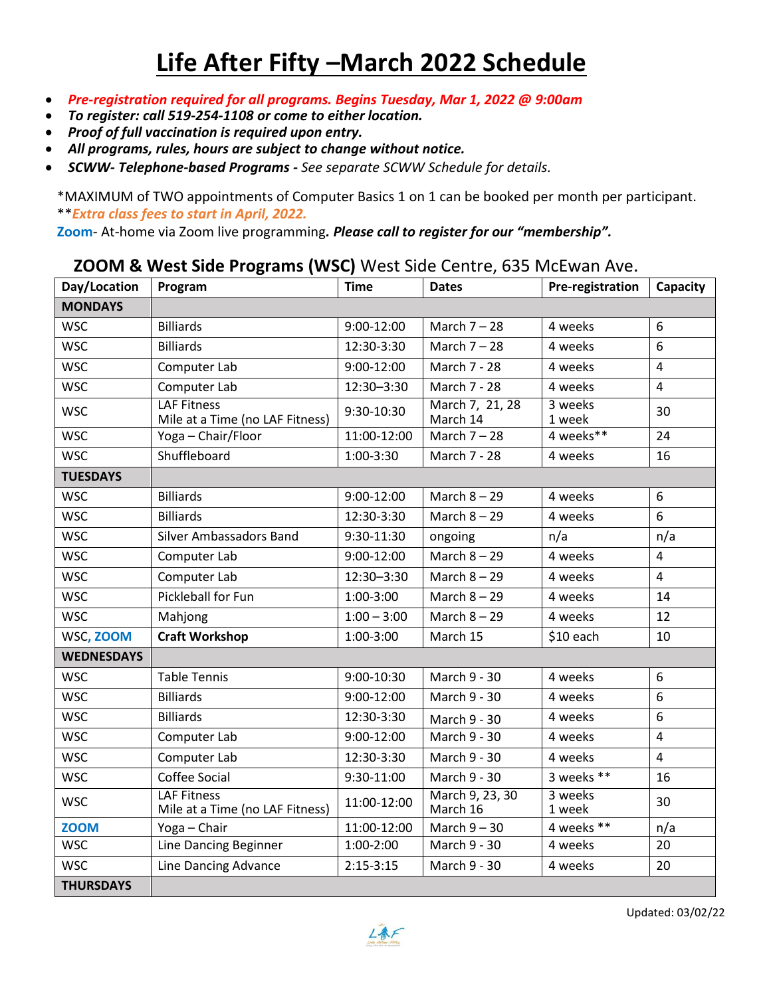# **Life After Fifty –March 2022 Schedule**

- *Pre-registration required for all programs. Begins Tuesday, Mar 1, 2022 @ 9:00am*
- *To register: call 519-254-1108 or come to either location.*
- *Proof of full vaccination is required upon entry.*
- *All programs, rules, hours are subject to change without notice.*
- *SCWW- Telephone-based Programs - See separate SCWW Schedule for details.*

\*MAXIMUM of TWO appointments of Computer Basics 1 on 1 can be booked per month per participant. \*\**Extra class fees to start in April, 2022.* 

**Zoom**- At-home via Zoom live programming*. Please call to register for our "membership".* 

#### **ZOOM & West Side Programs (WSC)** West Side Centre, 635 McEwan Ave.

| Day/Location      | Program                                               | <b>Time</b>    | <b>Dates</b>                | <b>Pre-registration</b> | Capacity       |
|-------------------|-------------------------------------------------------|----------------|-----------------------------|-------------------------|----------------|
| <b>MONDAYS</b>    |                                                       |                |                             |                         |                |
| <b>WSC</b>        | <b>Billiards</b>                                      | 9:00-12:00     | March $7 - 28$              | 4 weeks                 | 6              |
| <b>WSC</b>        | <b>Billiards</b>                                      | 12:30-3:30     | March $7 - 28$              | 4 weeks                 | 6              |
| <b>WSC</b>        | Computer Lab                                          | 9:00-12:00     | March 7 - 28                | 4 weeks                 | $\overline{4}$ |
| <b>WSC</b>        | Computer Lab                                          | 12:30-3:30     | March 7 - 28                | 4 weeks                 | 4              |
| <b>WSC</b>        | <b>LAF Fitness</b><br>Mile at a Time (no LAF Fitness) | 9:30-10:30     | March 7, 21, 28<br>March 14 | 3 weeks<br>1 week       | 30             |
| <b>WSC</b>        | Yoga - Chair/Floor                                    | 11:00-12:00    | March $7 - 28$              | 4 weeks**               | 24             |
| <b>WSC</b>        | Shuffleboard                                          | 1:00-3:30      | March 7 - 28                | 4 weeks                 | 16             |
| <b>TUESDAYS</b>   |                                                       |                |                             |                         |                |
| <b>WSC</b>        | <b>Billiards</b>                                      | 9:00-12:00     | March $8 - 29$              | 4 weeks                 | 6              |
| <b>WSC</b>        | <b>Billiards</b>                                      | 12:30-3:30     | March $8 - 29$              | 4 weeks                 | 6              |
| <b>WSC</b>        | <b>Silver Ambassadors Band</b>                        | 9:30-11:30     | ongoing                     | n/a                     | n/a            |
| <b>WSC</b>        | Computer Lab                                          | 9:00-12:00     | March $8 - 29$              | 4 weeks                 | 4              |
| <b>WSC</b>        | Computer Lab                                          | 12:30-3:30     | March $8 - 29$              | 4 weeks                 | 4              |
| <b>WSC</b>        | Pickleball for Fun                                    | 1:00-3:00      | March $8 - 29$              | 4 weeks                 | 14             |
| <b>WSC</b>        | Mahjong                                               | $1:00 - 3:00$  | March $8 - 29$              | 4 weeks                 | 12             |
| WSC, ZOOM         | <b>Craft Workshop</b>                                 | 1:00-3:00      | March 15                    | \$10 each               | 10             |
| <b>WEDNESDAYS</b> |                                                       |                |                             |                         |                |
| <b>WSC</b>        | <b>Table Tennis</b>                                   | 9:00-10:30     | March 9 - 30                | 4 weeks                 | 6              |
| <b>WSC</b>        | <b>Billiards</b>                                      | $9:00 - 12:00$ | March 9 - 30                | 4 weeks                 | 6              |
| <b>WSC</b>        | <b>Billiards</b>                                      | 12:30-3:30     | March 9 - 30                | 4 weeks                 | 6              |
| <b>WSC</b>        | Computer Lab                                          | 9:00-12:00     | March 9 - 30                | 4 weeks                 | $\overline{4}$ |
| <b>WSC</b>        | Computer Lab                                          | 12:30-3:30     | March 9 - 30                | 4 weeks                 | 4              |
| <b>WSC</b>        | <b>Coffee Social</b>                                  | 9:30-11:00     | March 9 - 30                | 3 weeks **              | 16             |
| <b>WSC</b>        | <b>LAF Fitness</b><br>Mile at a Time (no LAF Fitness) | 11:00-12:00    | March 9, 23, 30<br>March 16 | 3 weeks<br>1 week       | 30             |
| <b>ZOOM</b>       | Yoga - Chair                                          | 11:00-12:00    | March $9 - 30$              | 4 weeks **              | n/a            |
| <b>WSC</b>        | Line Dancing Beginner                                 | 1:00-2:00      | March 9 - 30                | 4 weeks                 | 20             |
| <b>WSC</b>        | Line Dancing Advance                                  | $2:15-3:15$    | March 9 - 30                | 4 weeks                 | 20             |
| <b>THURSDAYS</b>  |                                                       |                |                             |                         |                |

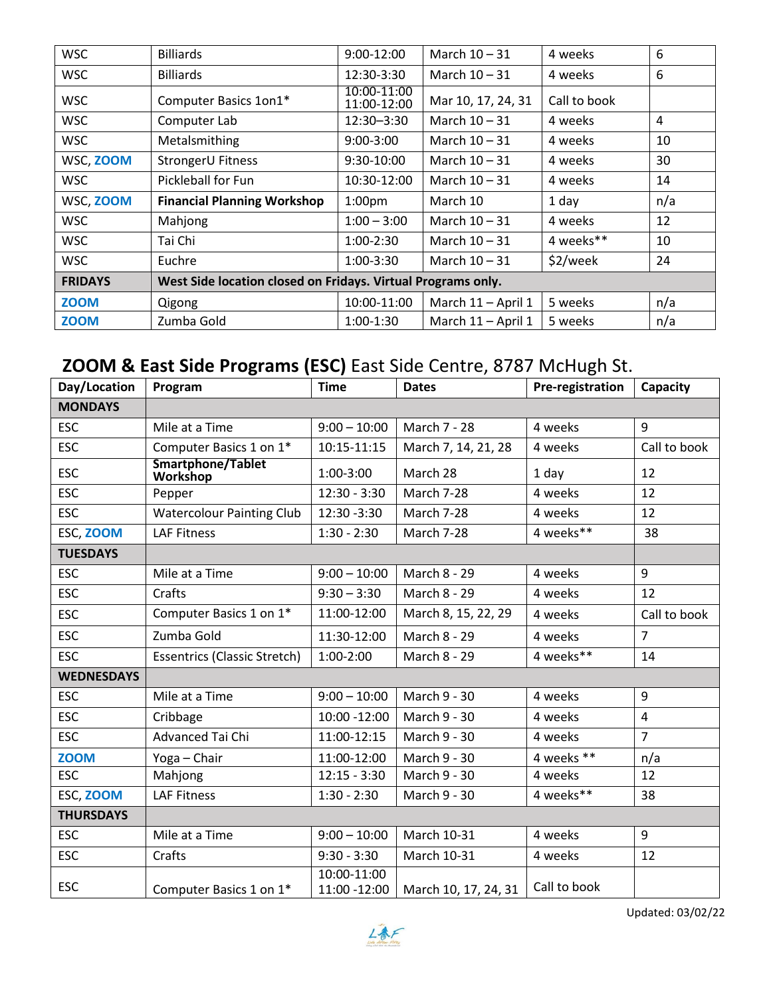| <b>WSC</b>     | <b>Billiards</b>                                             | $9:00-12:00$               | March $10 - 31$    | 4 weeks      | 6   |  |
|----------------|--------------------------------------------------------------|----------------------------|--------------------|--------------|-----|--|
| <b>WSC</b>     | <b>Billiards</b>                                             | 12:30-3:30                 | March $10 - 31$    | 4 weeks      | 6   |  |
| <b>WSC</b>     | Computer Basics 1on1*                                        | 10:00-11:00<br>11:00-12:00 | Mar 10, 17, 24, 31 | Call to book |     |  |
| <b>WSC</b>     | Computer Lab                                                 | 12:30-3:30                 | March $10 - 31$    | 4 weeks      | 4   |  |
| <b>WSC</b>     | Metalsmithing                                                | $9:00 - 3:00$              | March $10 - 31$    | 4 weeks      | 10  |  |
| WSC, ZOOM      | StrongerU Fitness                                            | 9:30-10:00                 | March $10 - 31$    | 4 weeks      | 30  |  |
| <b>WSC</b>     | Pickleball for Fun                                           | 10:30-12:00                | March $10 - 31$    | 4 weeks      | 14  |  |
| WSC, ZOOM      | <b>Financial Planning Workshop</b>                           | 1:00 <sub>pm</sub>         | March 10           | 1 day        | n/a |  |
| <b>WSC</b>     | Mahjong                                                      | $1:00 - 3:00$              | March $10 - 31$    | 4 weeks      | 12  |  |
| <b>WSC</b>     | Tai Chi                                                      | 1:00-2:30                  | March $10 - 31$    | 4 weeks**    | 10  |  |
| <b>WSC</b>     | Euchre                                                       | 1:00-3:30                  | March $10 - 31$    | \$2/week     | 24  |  |
| <b>FRIDAYS</b> | West Side location closed on Fridays. Virtual Programs only. |                            |                    |              |     |  |
| <b>ZOOM</b>    | Qigong                                                       | 10:00-11:00                | March 11 - April 1 | 5 weeks      | n/a |  |
| <b>ZOOM</b>    | Zumba Gold                                                   | 1:00-1:30                  | March 11 - April 1 | 5 weeks      | n/a |  |

## **ZOOM & East Side Programs (ESC)** East Side Centre, 8787 McHugh St.

| Day/Location      | Program                             | <b>Time</b>                 | . <b>-g</b> . <b></b> $\left(-\frac{1}{2}\right)$ =  bits can be commonly to the set of the set of the set of the set of the set<br><b>Dates</b> | Pre-registration | Capacity       |
|-------------------|-------------------------------------|-----------------------------|--------------------------------------------------------------------------------------------------------------------------------------------------|------------------|----------------|
| <b>MONDAYS</b>    |                                     |                             |                                                                                                                                                  |                  |                |
| <b>ESC</b>        | Mile at a Time                      | $9:00 - 10:00$              | March 7 - 28                                                                                                                                     | 4 weeks          | 9              |
| <b>ESC</b>        | Computer Basics 1 on 1*             | 10:15-11:15                 | March 7, 14, 21, 28                                                                                                                              | 4 weeks          | Call to book   |
| <b>ESC</b>        | Smartphone/Tablet<br>Workshop       | 1:00-3:00                   | March 28                                                                                                                                         | 1 day            | 12             |
| <b>ESC</b>        | Pepper                              | $12:30 - 3:30$              | <b>March 7-28</b>                                                                                                                                | 4 weeks          | 12             |
| <b>ESC</b>        | <b>Watercolour Painting Club</b>    | 12:30 -3:30                 | March 7-28                                                                                                                                       | 4 weeks          | 12             |
| ESC, ZOOM         | <b>LAF Fitness</b>                  | $1:30 - 2:30$               | March 7-28                                                                                                                                       | 4 weeks**        | 38             |
| <b>TUESDAYS</b>   |                                     |                             |                                                                                                                                                  |                  |                |
| <b>ESC</b>        | Mile at a Time                      | $9:00 - 10:00$              | March 8 - 29                                                                                                                                     | 4 weeks          | 9              |
| <b>ESC</b>        | Crafts                              | $9:30 - 3:30$               | March 8 - 29                                                                                                                                     | 4 weeks          | 12             |
| <b>ESC</b>        | Computer Basics 1 on 1*             | 11:00-12:00                 | March 8, 15, 22, 29                                                                                                                              | 4 weeks          | Call to book   |
| <b>ESC</b>        | Zumba Gold                          | 11:30-12:00                 | March 8 - 29                                                                                                                                     | 4 weeks          | $\overline{7}$ |
| <b>ESC</b>        | <b>Essentrics (Classic Stretch)</b> | 1:00-2:00                   | March 8 - 29                                                                                                                                     | 4 weeks**        | 14             |
| <b>WEDNESDAYS</b> |                                     |                             |                                                                                                                                                  |                  |                |
| <b>ESC</b>        | Mile at a Time                      | $9:00 - 10:00$              | March 9 - 30                                                                                                                                     | 4 weeks          | 9              |
| <b>ESC</b>        | Cribbage                            | 10:00 -12:00                | March 9 - 30                                                                                                                                     | 4 weeks          | $\overline{4}$ |
| <b>ESC</b>        | Advanced Tai Chi                    | 11:00-12:15                 | March 9 - 30                                                                                                                                     | 4 weeks          | $\overline{7}$ |
| <b>ZOOM</b>       | Yoga - Chair                        | 11:00-12:00                 | March 9 - 30                                                                                                                                     | 4 weeks **       | n/a            |
| <b>ESC</b>        | Mahjong                             | $12:15 - 3:30$              | March 9 - 30                                                                                                                                     | 4 weeks          | 12             |
| ESC, ZOOM         | <b>LAF Fitness</b>                  | $1:30 - 2:30$               | March 9 - 30                                                                                                                                     | 4 weeks**        | 38             |
| <b>THURSDAYS</b>  |                                     |                             |                                                                                                                                                  |                  |                |
| <b>ESC</b>        | Mile at a Time                      | $9:00 - 10:00$              | March 10-31                                                                                                                                      | 4 weeks          | 9              |
| <b>ESC</b>        | Crafts                              | $9:30 - 3:30$               | March 10-31                                                                                                                                      | 4 weeks          | 12             |
| ESC               | Computer Basics 1 on 1*             | 10:00-11:00<br>11:00 -12:00 | March 10, 17, 24, 31                                                                                                                             | Call to book     |                |

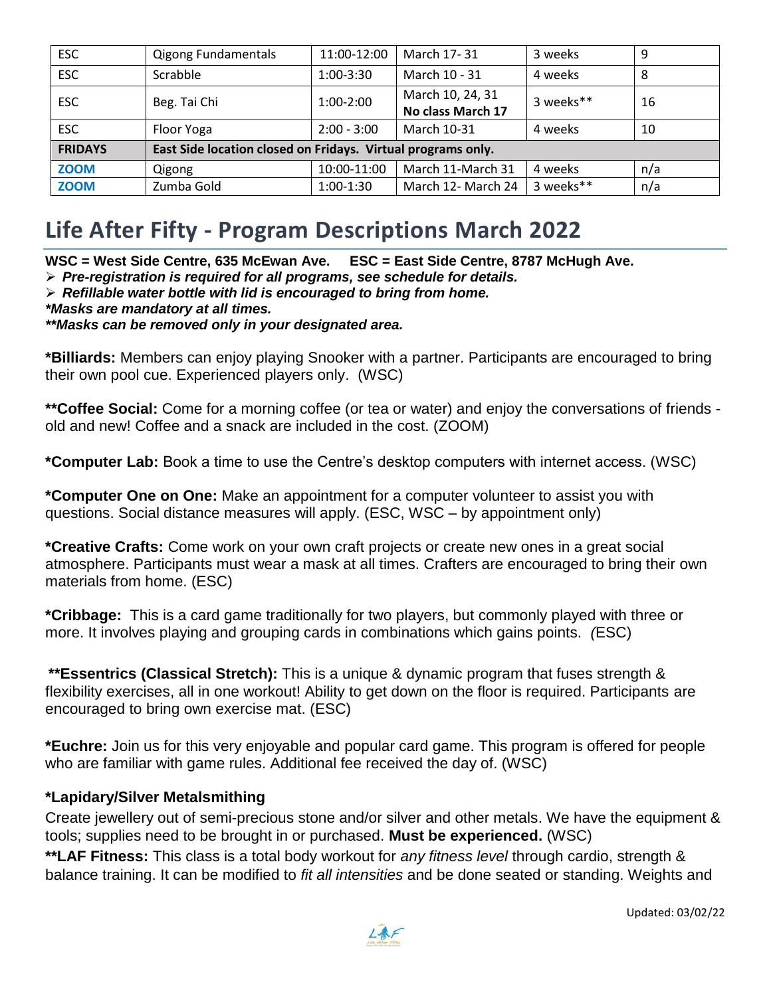| <b>ESC</b>     | <b>Qigong Fundamentals</b>                                   | 11:00-12:00   | March 17-31                           | 3 weeks   | 9   |  |
|----------------|--------------------------------------------------------------|---------------|---------------------------------------|-----------|-----|--|
| <b>ESC</b>     | Scrabble                                                     | 1:00-3:30     | March 10 - 31                         | 4 weeks   | 8   |  |
| <b>ESC</b>     | Beg. Tai Chi                                                 | 1:00-2:00     | March 10, 24, 31<br>No class March 17 | 3 weeks** | 16  |  |
| <b>ESC</b>     | Floor Yoga                                                   | $2:00 - 3:00$ | March 10-31                           | 4 weeks   | 10  |  |
| <b>FRIDAYS</b> | East Side location closed on Fridays. Virtual programs only. |               |                                       |           |     |  |
| <b>ZOOM</b>    | Qigong                                                       | 10:00-11:00   | March 11-March 31                     | 4 weeks   | n/a |  |
| <b>ZOOM</b>    | Zumba Gold                                                   | $1:00-1:30$   | March 12- March 24                    | 3 weeks** | n/a |  |

# **Life After Fifty - Program Descriptions March 2022**

**WSC = West Side Centre, 635 McEwan Ave. ESC = East Side Centre, 8787 McHugh Ave.**

- *Pre-registration is required for all programs, see schedule for details.*
- *Refillable water bottle with lid is encouraged to bring from home.*

*\*Masks are mandatory at all times.*

*\*\*Masks can be removed only in your designated area.*

**\*Billiards:** Members can enjoy playing Snooker with a partner. Participants are encouraged to bring their own pool cue. Experienced players only. (WSC)

**\*\*Coffee Social:** Come for a morning coffee (or tea or water) and enjoy the conversations of friends old and new! Coffee and a snack are included in the cost. (ZOOM)

**\*Computer Lab:** Book a time to use the Centre's desktop computers with internet access. (WSC)

**\*Computer One on One:** Make an appointment for a computer volunteer to assist you with questions. Social distance measures will apply. (ESC, WSC – by appointment only)

**\*Creative Crafts:** Come work on your own craft projects or create new ones in a great social atmosphere. Participants must wear a mask at all times. Crafters are encouraged to bring their own materials from home. (ESC)

**\*Cribbage:** This is a card game traditionally for two players, but commonly played with three or more. It involves playing and grouping cards in combinations which gains points. *(*ESC)

**\*\*Essentrics (Classical Stretch):** This is a unique & dynamic program that fuses strength & flexibility exercises, all in one workout! Ability to get down on the floor is required. Participants are encouraged to bring own exercise mat. (ESC)

**\*Euchre:** Join us for this very enjoyable and popular card game. This program is offered for people who are familiar with game rules. Additional fee received the day of. (WSC)

#### **\*Lapidary/Silver Metalsmithing**

Create jewellery out of semi-precious stone and/or silver and other metals. We have the equipment & tools; supplies need to be brought in or purchased. **Must be experienced.** (WSC)

**\*\*LAF Fitness:** This class is a total body workout for *any fitness level* through cardio, strength & balance training. It can be modified to *fit all intensities* and be done seated or standing. Weights and

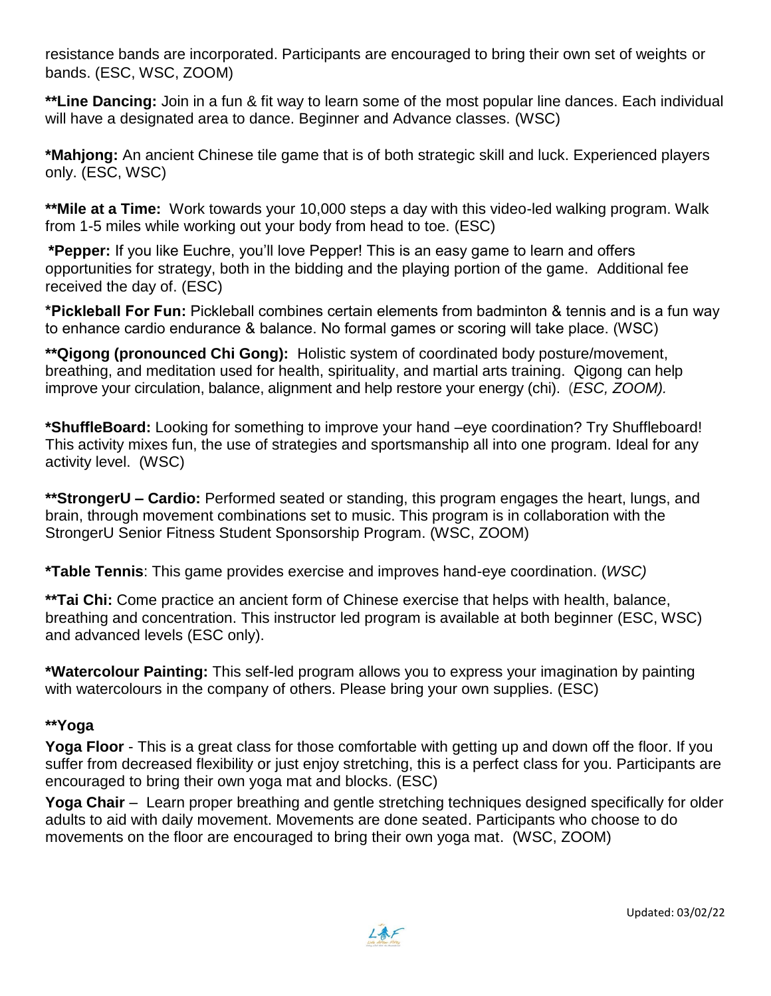resistance bands are incorporated. Participants are encouraged to bring their own set of weights or bands. (ESC, WSC, ZOOM)

**\*\*Line Dancing:** Join in a fun & fit way to learn some of the most popular line dances. Each individual will have a designated area to dance. Beginner and Advance classes. (WSC)

**\*Mahjong:** An ancient Chinese tile game that is of both strategic skill and luck. Experienced players only. (ESC, WSC)

**\*\*Mile at a Time:** Work towards your 10,000 steps a day with this video-led walking program. Walk from 1-5 miles while working out your body from head to toe. (ESC)

**\*Pepper:** If you like Euchre, you'll love Pepper! This is an easy game to learn and offers opportunities for strategy, both in the bidding and the playing portion of the game. Additional fee received the day of. (ESC)

**\*Pickleball For Fun:** Pickleball combines certain elements from badminton & tennis and is a fun way to enhance cardio endurance & balance. No formal games or scoring will take place. (WSC)

**\*\*Qigong (pronounced Chi Gong):** Holistic system of coordinated body posture/movement, breathing, and meditation used for health, spirituality, and martial arts training. Qigong can help improve your circulation, balance, alignment and help restore your energy (chi). (*ESC, ZOOM).*

**\*ShuffleBoard:** Looking for something to improve your hand –eye coordination? Try Shuffleboard! This activity mixes fun, the use of strategies and sportsmanship all into one program. Ideal for any activity level. (WSC)

**\*\*StrongerU – Cardio:** Performed seated or standing, this program engages the heart, lungs, and brain, through movement combinations set to music. This program is in collaboration with the StrongerU Senior Fitness Student Sponsorship Program. (WSC, ZOOM)

**\*Table Tennis**: This game provides exercise and improves hand-eye coordination. (*WSC)*

**\*\*Tai Chi:** Come practice an ancient form of Chinese exercise that helps with health, balance, breathing and concentration. This instructor led program is available at both beginner (ESC, WSC) and advanced levels (ESC only).

**\*Watercolour Painting:** This self-led program allows you to express your imagination by painting with watercolours in the company of others. Please bring your own supplies. (ESC)

#### **\*\*Yoga**

**Yoga Floor** - This is a great class for those comfortable with getting up and down off the floor. If you suffer from decreased flexibility or just enjoy stretching, this is a perfect class for you. Participants are encouraged to bring their own yoga mat and blocks. (ESC)

**Yoga Chair** – Learn proper breathing and gentle stretching techniques designed specifically for older adults to aid with daily movement. Movements are done seated. Participants who choose to do movements on the floor are encouraged to bring their own yoga mat. (WSC, ZOOM)